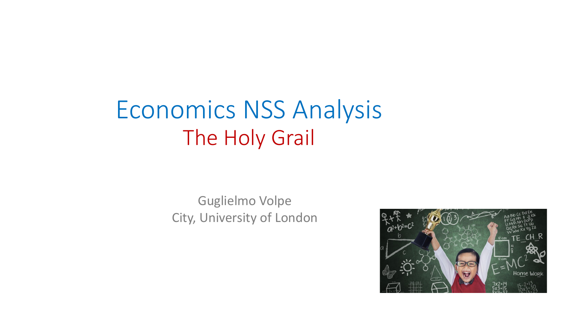# Economics NSS Analysis The Holy Grail

## Guglielmo Volpe City, University of London

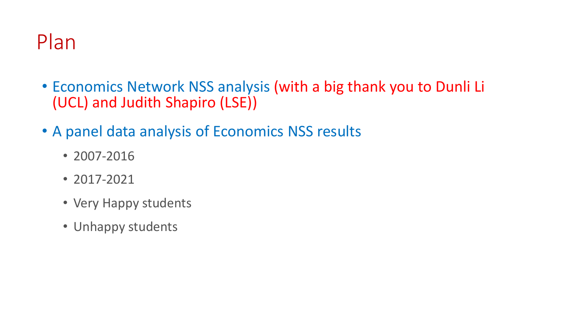# Plan

- Economics Network NSS analysis (with a big thank you to Dunli Li (UCL) and Judith Shapiro (LSE))
- A panel data analysis of Economics NSS results
	- 2007-2016
	- 2017-2021
	- Very Happy students
	- Unhappy students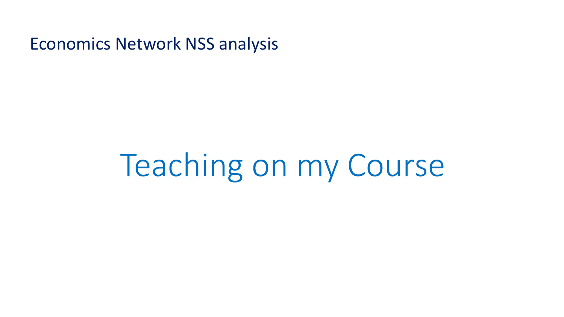# Teaching on my Course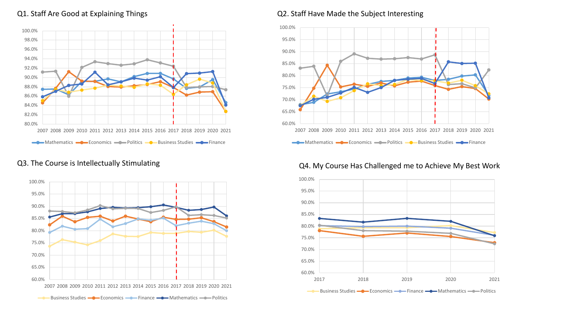### Q1. Staff Are Good at Explaining Things



### Q3. The Course is Intellectually Stimulating



Q2. Staff Have Made the Subject Interesting



### Q4. My Course Has Challenged me to Achieve My Best Work

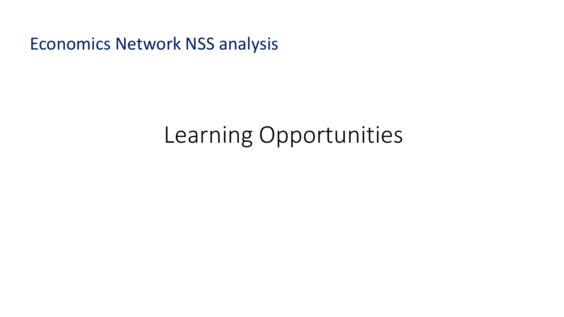# Learning Opportunities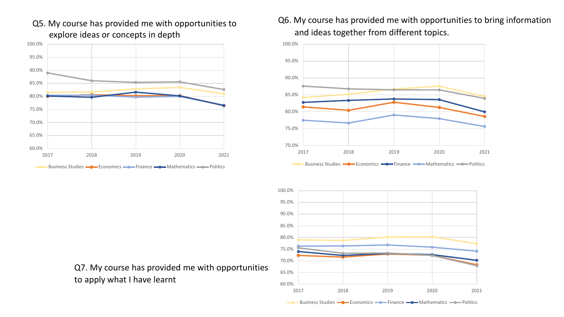

Q5. My course has provided me with opportunities to explore ideas or concepts in depth

Q6. My course has provided me with opportunities to bring information and ideas together from different topics.



60.0% 65.0% 70.0% 75.0% 80.0% 85.0% 90.0% 95.0% 100.0% 2017 2018 2019 2020 2021 Business Studies  $\longrightarrow$  Economics  $\longrightarrow$  Finance  $\longrightarrow$  Mathematics  $\longrightarrow$  Politics

Q7. My course has provided me with opportunities to apply what I have learnt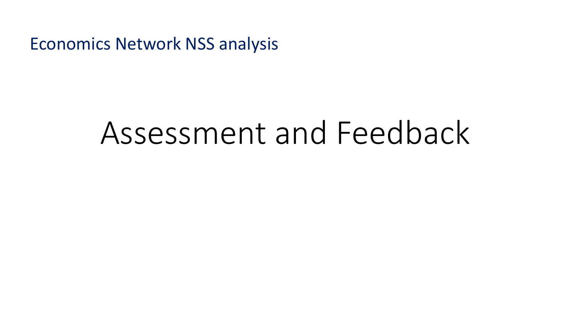# Assessment and Feedback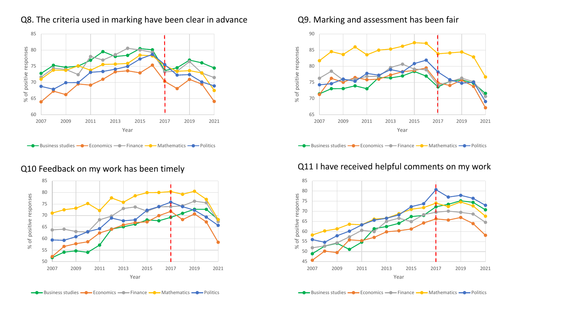

### Q8. The criteria used in marking have been clear in advance Q9. Marking and assessment has been fair







## Q10 Feedback on my work has been timely and all thave received helpful comments on my work

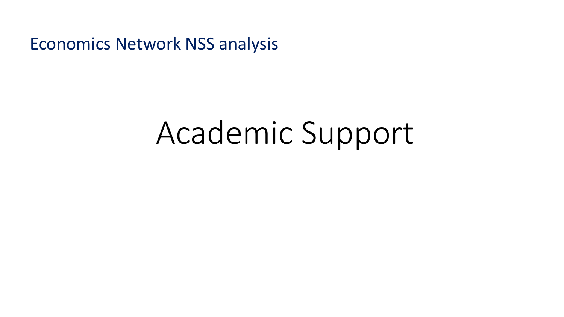# Academic Support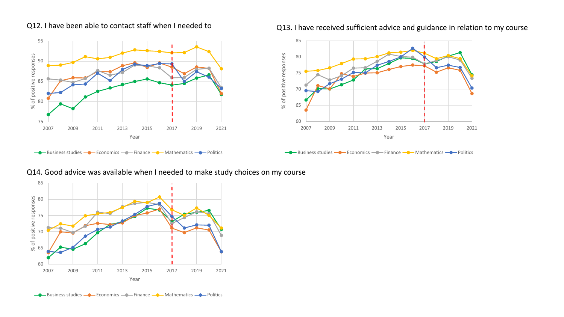

Q12. I have been able to contact staff when I needed to **Q13. I have received sufficient advice and guidance in relation to my course** 



### **Business studies - Conomics - Conomics - Conomics** - Mathematics - Politics

### Q14. Good advice was available when I needed to make study choices on my course

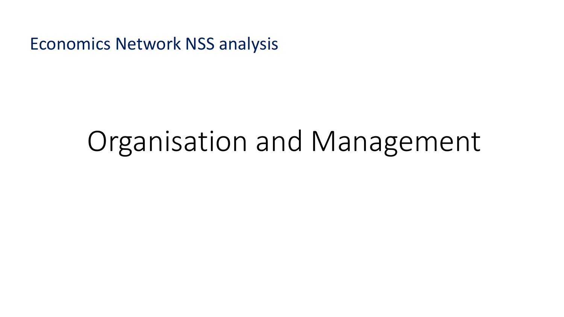# Organisation and Management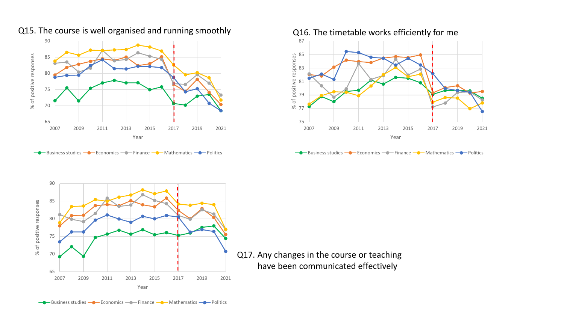

Q15. The course is well organised and running smoothly and  $Q16$ . The timetable works efficiently for me

 $\leftarrow$  Business studies  $\leftarrow$  Economics  $\leftarrow$  Finance  $\leftarrow$  Mathematics  $\leftarrow$  Politics







Q17. Any changes in the course or teaching have been communicated effectively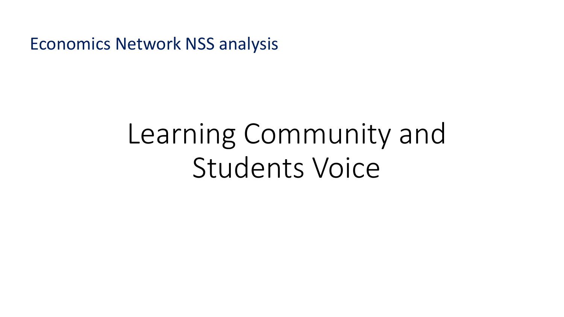# Learning Community and Students Voice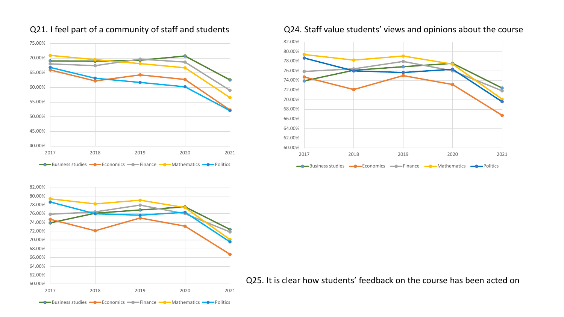

### Q21. I feel part of a community of staff and students

### Q24. Staff value students' views and opinions about the course





 $\overline{Q}$   $\overline{Q}$  and  $\overline{Q}$  and  $\overline{Q}$  and  $\overline{Q}$  and  $\overline{Q}$  and  $\overline{Q}$  and  $\overline{Q}$  and  $\overline{Q}$  and  $\overline{Q}$  and  $\overline{Q}$  and  $\overline{Q}$  and  $\overline{Q}$  and  $\overline{Q}$  and  $\overline{Q}$  and  $\overline{Q}$  and  $\overline{Q}$  and  $\overline$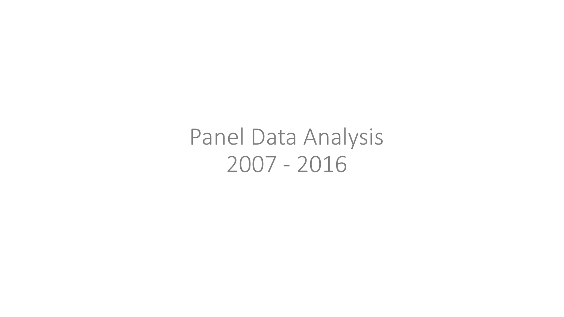Panel Data Analysis 2007 - 2016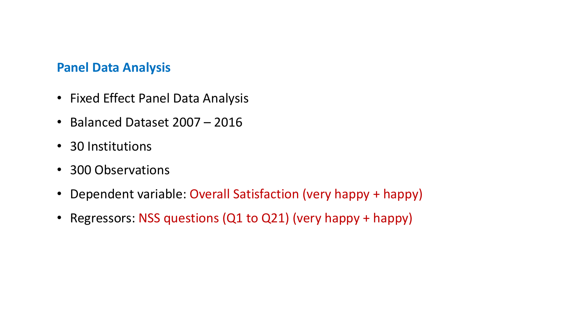## **Panel Data Analysis**

- Fixed Effect Panel Data Analysis
- Balanced Dataset 2007 2016
- 30 Institutions
- 300 Observations
- Dependent variable: Overall Satisfaction (very happy + happy)
- Regressors: NSS questions (Q1 to Q21) (very happy + happy)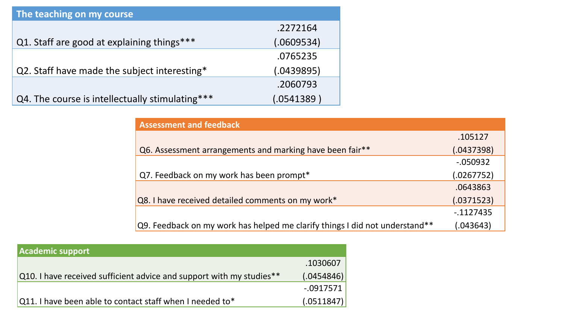| The teaching on my course                       |            |  |
|-------------------------------------------------|------------|--|
|                                                 | .2272164   |  |
| Q1. Staff are good at explaining things***      | (.0609534) |  |
|                                                 | .0765235   |  |
| Q2. Staff have made the subject interesting*    | (.0439895) |  |
|                                                 | .2060793   |  |
| Q4. The course is intellectually stimulating*** | (.0541389) |  |

| <b>Assessment and feedback</b>                                              |            |
|-----------------------------------------------------------------------------|------------|
|                                                                             | .105127    |
| Q6. Assessment arrangements and marking have been fair**                    | (.0437398) |
|                                                                             | $-050932$  |
| Q7. Feedback on my work has been prompt*                                    | (.0267752) |
|                                                                             | .0643863   |
| Q8. I have received detailed comments on my work*                           | (.0371523) |
|                                                                             | $-1127435$ |
| Q9. Feedback on my work has helped me clarify things I did not understand** | (.043643)  |

| <b>Academic support</b>                                              |              |
|----------------------------------------------------------------------|--------------|
|                                                                      | .1030607     |
| Q10. I have received sufficient advice and support with my studies** | (.0454846)   |
|                                                                      | $-0.0917571$ |
| $\sqrt{Q}$ 11. I have been able to contact staff when I needed to*   | (.0511847)   |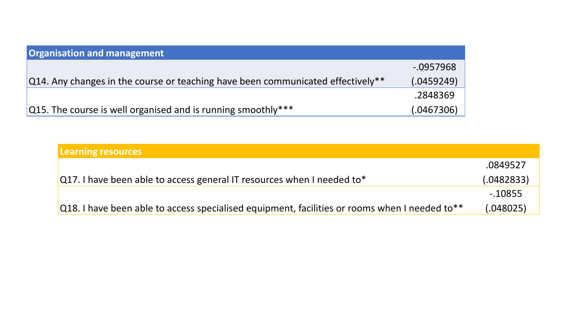| <b>Organisation and management</b>                                                       |              |
|------------------------------------------------------------------------------------------|--------------|
|                                                                                          | $-0.0957968$ |
| $\alpha$ Q14. Any changes in the course or teaching have been communicated effectively** | (.0459249)   |
|                                                                                          | .2848369     |
| $ Q15$ . The course is well organised and is running smoothly***                         | (.0467306)   |

| <b>Learning resources</b>                                                                     |            |
|-----------------------------------------------------------------------------------------------|------------|
|                                                                                               | .0849527   |
| Q17. I have been able to access general IT resources when I needed to*                        | (.0482833) |
|                                                                                               | $-0.10855$ |
| Q18. I have been able to access specialised equipment, facilities or rooms when I needed to** | (.048025)  |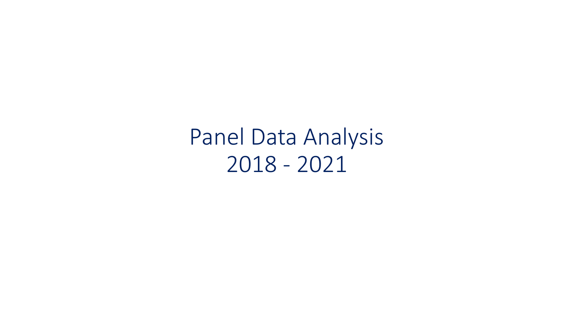Panel Data Analysis 2018 - 2021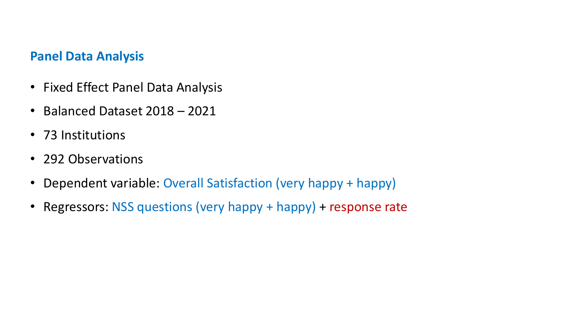## **Panel Data Analysis**

- Fixed Effect Panel Data Analysis
- Balanced Dataset 2018 2021
- 73 Institutions
- 292 Observations
- Dependent variable: Overall Satisfaction (very happy + happy)
- Regressors: NSS questions (very happy + happy) + response rate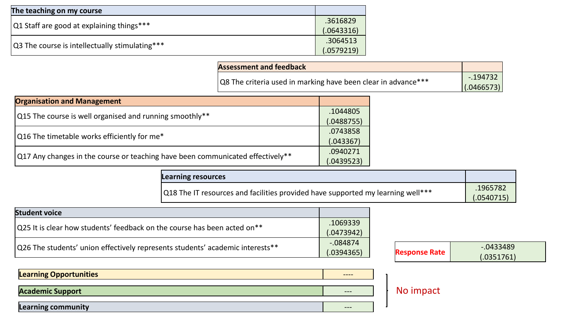| The teaching on my course                      |            |
|------------------------------------------------|------------|
| Q1 Staff are good at explaining things***      | .3616829   |
|                                                | (.0643316) |
| Q3 The course is intellectually stimulating*** | .3064513   |
|                                                | (.0579219) |

| <b>Assessment and feedback</b>                                |             |
|---------------------------------------------------------------|-------------|
|                                                               | $-194732$   |
| Q8 The criteria used in marking have been clear in advance*** | (0.0466573) |

| <b>Organisation and Management</b>                                                     |  |
|----------------------------------------------------------------------------------------|--|
| Q15 The course is well organised and running smoothly**                                |  |
|                                                                                        |  |
| $\Omega$ 17 Any changes in the course or teaching have been communicated effectively** |  |

| Learning resources                                                              |                        |
|---------------------------------------------------------------------------------|------------------------|
| Q18 The IT resources and facilities provided have supported my learning well*** | .1965782<br>(.0540715) |

| <b>Student voice</b>                                                          |            |
|-------------------------------------------------------------------------------|------------|
|                                                                               | .1069339   |
| Q25 It is clear how students' feedback on the course has been acted on**      | (.0473942) |
|                                                                               | $-084874$  |
| Q26 The students' union effectively represents students' academic interests** | (.0394365) |

| $-084874$  |                      | $-0.0433489$ |
|------------|----------------------|--------------|
| (.0394365) | <b>Response Rate</b> | (.0351761)   |
|            |                      |              |

| <b>Learning Opportunities</b> |  |
|-------------------------------|--|
| <b>Academic Support</b>       |  |
| <b>Learning community</b>     |  |

## No impact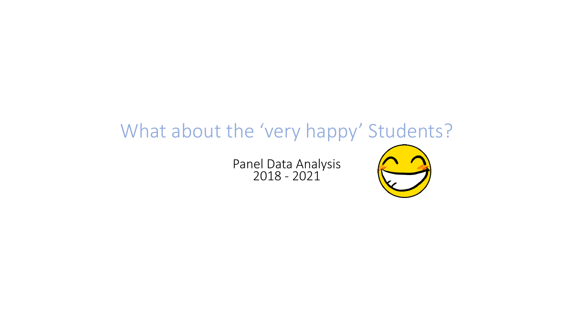# What about the 'very happy' Students?

Panel Data Analysis 2018 - 2021

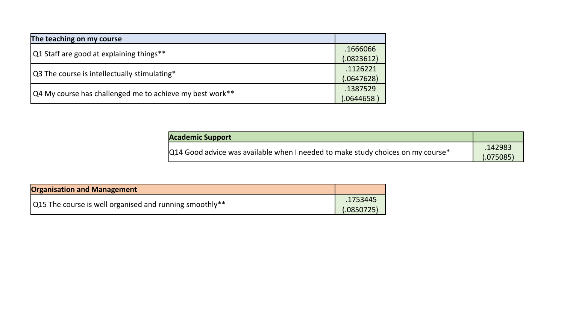| The teaching on my course                                |            |
|----------------------------------------------------------|------------|
|                                                          | .1666066   |
| Q1 Staff are good at explaining things**                 | (.0823612) |
|                                                          | .1126221   |
| Q3 The course is intellectually stimulating*             | (.0647628) |
| Q4 My course has challenged me to achieve my best work** | .1387529   |
|                                                          | .0644658   |

| <b>Academic Support</b>                                                         |                      |
|---------------------------------------------------------------------------------|----------------------|
| Q14 Good advice was available when I needed to make study choices on my course* | .142983<br>(.075085) |

| <b>Organisation and Management</b>                      |                        |
|---------------------------------------------------------|------------------------|
| Q15 The course is well organised and running smoothly** | .1753445<br>(.0850725) |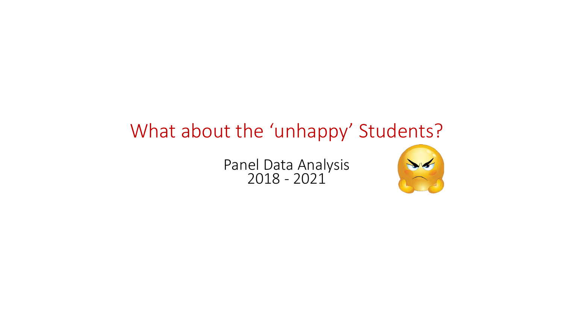# What about the 'unhappy' Students?

Panel Data Analysis 2018 - 2021

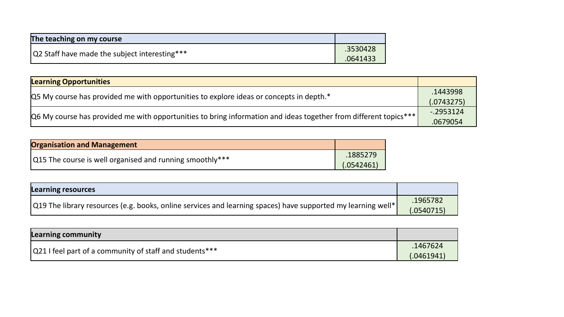| The teaching on my course                     |          |
|-----------------------------------------------|----------|
| Q2 Staff have made the subject interesting*** | .3530428 |
|                                               | .0641433 |

| <b>Learning Opportunities</b>                                                                                               |              |
|-----------------------------------------------------------------------------------------------------------------------------|--------------|
| $\alpha$ My course has provided me with opportunities to explore ideas or concepts in depth. <sup>*</sup>                   | .1443998     |
|                                                                                                                             | (.0743275)   |
| $ Q6 \text{ My course has provided me with opportunities to bring information and ideas together from different topics*** $ | $-0.2953124$ |
|                                                                                                                             | .0679054     |

| <b>Organisation and Management</b>                       |            |
|----------------------------------------------------------|------------|
| Q15 The course is well organised and running smoothly*** | .1885279   |
|                                                          | (.0542461) |

| <b>Learning resources</b>                                                                                    |                       |
|--------------------------------------------------------------------------------------------------------------|-----------------------|
| Q19 The library resources (e.g. books, online services and learning spaces) have supported my learning well* | .1965782<br>.0540715) |

| Learning community                                      |                        |
|---------------------------------------------------------|------------------------|
| Q21 I feel part of a community of staff and students*** | .1467624<br>(.0461941) |